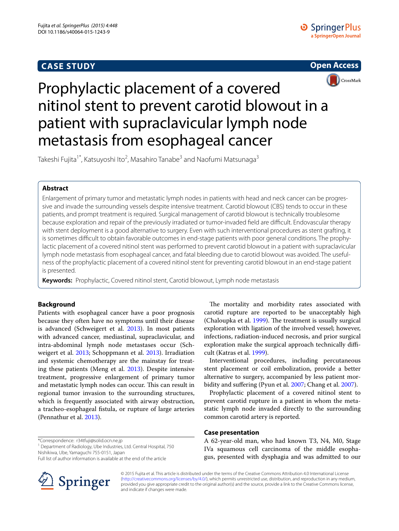## **CASE STUDY**





# Prophylactic placement of a covered nitinol stent to prevent carotid blowout in a patient with supraclavicular lymph node metastasis from esophageal cancer

Takeshi Fujita<sup>1\*</sup>, Katsuyoshi Ito<sup>2</sup>, Masahiro Tanabe<sup>3</sup> and Naofumi Matsunaga<sup>3</sup>

## **Abstract**

Enlargement of primary tumor and metastatic lymph nodes in patients with head and neck cancer can be progressive and invade the surrounding vessels despite intensive treatment. Carotid blowout (CBS) tends to occur in these patients, and prompt treatment is required. Surgical management of carotid blowout is technically troublesome because exploration and repair of the previously irradiated or tumor-invaded field are difficult. Endovascular therapy with stent deployment is a good alternative to surgery. Even with such interventional procedures as stent grafting, it is sometimes difficult to obtain favorable outcomes in end-stage patients with poor general conditions. The prophylactic placement of a covered nitinol stent was performed to prevent carotid blowout in a patient with supraclavicular lymph node metastasis from esophageal cancer, and fatal bleeding due to carotid blowout was avoided. The usefulness of the prophylactic placement of a covered nitinol stent for preventing carotid blowout in an end-stage patient is presented.

**Keywords:** Prophylactic, Covered nitinol stent, Carotid blowout, Lymph node metastasis

## **Background**

Patients with esophageal cancer have a poor prognosis because they often have no symptoms until their disease is advanced (Schweigert et al. [2013\)](#page-3-0). In most patients with advanced cancer, mediastinal, supraclavicular, and intra-abdominal lymph node metastases occur (Schweigert et al. [2013;](#page-3-0) Schoppmann et al. [2013\)](#page-3-1). Irradiation and systemic chemotherapy are the mainstay for treating these patients (Meng et al. [2013\)](#page-3-2). Despite intensive treatment, progressive enlargement of primary tumor and metastatic lymph nodes can occur. This can result in regional tumor invasion to the surrounding structures, which is frequently associated with airway obstruction, a tracheo-esophageal fistula, or rupture of large arteries (Pennathur et al. [2013](#page-3-3)).

\*Correspondence: r34tfuji@solid.ocn.ne.jp

<sup>1</sup> Department of Radiology, Ube Industries, Ltd. Central Hospital, 750 Nishikiwa, Ube, Yamaguchi 755-0151, Japan

Full list of author information is available at the end of the article



The mortality and morbidity rates associated with carotid rupture are reported to be unacceptably high (Chaloupka et al. [1999](#page-3-4)). The treatment is usually surgical exploration with ligation of the involved vessel; however, infections, radiation-induced necrosis, and prior surgical exploration make the surgical approach technically difficult (Katras et al. [1999\)](#page-3-5).

Interventional procedures, including percutaneous stent placement or coil embolization, provide a better alternative to surgery, accompanied by less patient morbidity and suffering (Pyun et al. [2007](#page-3-6); Chang et al. [2007](#page-3-7)).

Prophylactic placement of a covered nitinol stent to prevent carotid rupture in a patient in whom the metastatic lymph node invaded directly to the surrounding common carotid artery is reported.

## **Case presentation**

A 62-year-old man, who had known T3, N4, M0, Stage IVa squamous cell carcinoma of the middle esophagus, presented with dysphagia and was admitted to our

© 2015 Fujita et al. This article is distributed under the terms of the Creative Commons Attribution 4.0 International License [\(http://creativecommons.org/licenses/by/4.0/\)](http://creativecommons.org/licenses/by/4.0/), which permits unrestricted use, distribution, and reproduction in any medium, provided you give appropriate credit to the original author(s) and the source, provide a link to the Creative Commons license, and indicate if changes were made.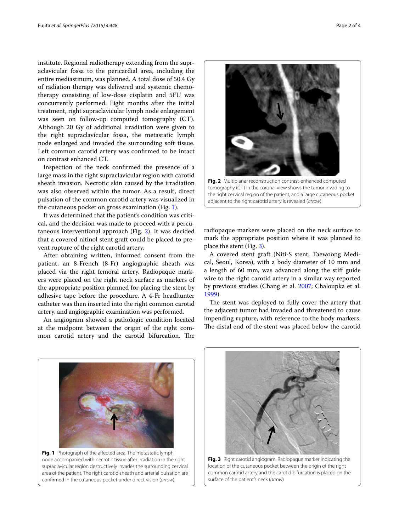institute. Regional radiotherapy extending from the supraclavicular fossa to the pericardial area, including the entire mediastinum, was planned. A total dose of 50.4 Gy of radiation therapy was delivered and systemic chemotherapy consisting of low-dose cisplatin and 5FU was concurrently performed. Eight months after the initial treatment, right supraclavicular lymph node enlargement was seen on follow-up computed tomography (CT). Although 20 Gy of additional irradiation were given to the right supraclavicular fossa, the metastatic lymph node enlarged and invaded the surrounding soft tissue. Left common carotid artery was confirmed to be intact on contrast enhanced CT.

Inspection of the neck confirmed the presence of a large mass in the right supraclavicular region with carotid sheath invasion. Necrotic skin caused by the irradiation was also observed within the tumor. As a result, direct pulsation of the common carotid artery was visualized in the cutaneous pocket on gross examination (Fig. [1](#page-1-0)).

It was determined that the patient's condition was critical, and the decision was made to proceed with a percutaneous interventional approach (Fig. [2](#page-1-1)). It was decided that a covered nitinol stent graft could be placed to prevent rupture of the right carotid artery.

After obtaining written, informed consent from the patient, an 8-French (8-Fr) angiographic sheath was placed via the right femoral artery. Radiopaque markers were placed on the right neck surface as markers of the appropriate position planned for placing the stent by adhesive tape before the procedure. A 4-Fr headhunter catheter was then inserted into the right common carotid artery, and angiographic examination was performed.

An angiogram showed a pathologic condition located at the midpoint between the origin of the right common carotid artery and the carotid bifurcation. The



<span id="page-1-1"></span>tomography (CT) in the coronal view shows the tumor invading to the right cervical region of the patient, and a large cutaneous pocket adjacent to the right carotid artery is revealed (*arrow*)

radiopaque markers were placed on the neck surface to mark the appropriate position where it was planned to place the stent (Fig. [3](#page-1-2)).

A covered stent graft (Niti-S stent, Taewoong Medical, Seoul, Korea), with a body diameter of 10 mm and a length of 60 mm, was advanced along the stiff guide wire to the right carotid artery in a similar way reported by previous studies (Chang et al. [2007;](#page-3-7) Chaloupka et al. [1999](#page-3-4)).

The stent was deployed to fully cover the artery that the adjacent tumor had invaded and threatened to cause impending rupture, with reference to the body markers. The distal end of the stent was placed below the carotid

<span id="page-1-0"></span>

**Fig. 1** Photograph of the affected area. The metastatic lymph node accompanied with necrotic tissue after irradiation in the right supraclavicular region destructively invades the surrounding cervical area of the patient. The right carotid sheath and arterial pulsation are confirmed in the cutaneous pocket under direct vision (*arrow*)



<span id="page-1-2"></span>**Fig. 3** Right carotid angiogram. Radiopaque marker indicating the location of the cutaneous pocket between the origin of the right common carotid artery and the carotid bifurcation is placed on the surface of the patient's neck (*arrow*)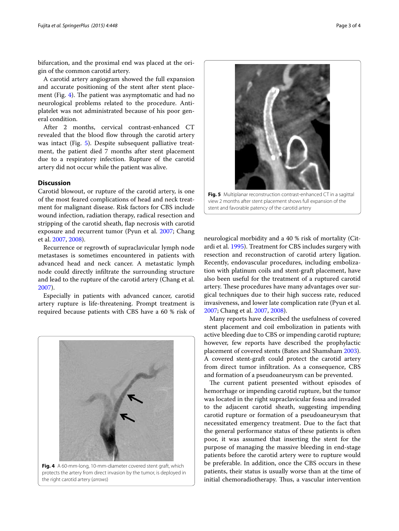bifurcation, and the proximal end was placed at the origin of the common carotid artery.

A carotid artery angiogram showed the full expansion and accurate positioning of the stent after stent placement (Fig. [4\)](#page-2-0). The patient was asymptomatic and had no neurological problems related to the procedure. Antiplatelet was not administrated because of his poor general condition.

After 2 months, cervical contrast-enhanced CT revealed that the blood flow through the carotid artery was intact (Fig. [5](#page-2-1)). Despite subsequent palliative treatment, the patient died 7 months after stent placement due to a respiratory infection. Rupture of the carotid artery did not occur while the patient was alive.

### **Discussion**

Carotid blowout, or rupture of the carotid artery, is one of the most feared complications of head and neck treatment for malignant disease. Risk factors for CBS include wound infection, radiation therapy, radical resection and stripping of the carotid sheath, flap necrosis with carotid exposure and recurrent tumor (Pyun et al. [2007](#page-3-6); Chang et al. [2007,](#page-3-7) [2008](#page-3-8)).

Recurrence or regrowth of supraclavicular lymph node metastases is sometimes encountered in patients with advanced head and neck cancer. A metastatic lymph node could directly infiltrate the surrounding structure and lead to the rupture of the carotid artery (Chang et al. [2007](#page-3-7)).

Especially in patients with advanced cancer, carotid artery rupture is life-threatening. Prompt treatment is required because patients with CBS have a 60 % risk of



<span id="page-2-0"></span>**Fig. 4** A 60-mm-long, 10-mm-diameter covered stent graft, which protects the artery from direct invasion by the tumor, is deployed in the right carotid artery (*arrows*)



<span id="page-2-1"></span>**Fig. 5** Multiplanar reconstruction contrast-enhanced CT in a sagittal view 2 months after stent placement shows full expansion of the stent and favorable patency of the carotid artery

neurological morbidity and a 40 % risk of mortality (Citardi et al. [1995](#page-3-9)). Treatment for CBS includes surgery with resection and reconstruction of carotid artery ligation. Recently, endovascular procedures, including embolization with platinum coils and stent-graft placement, have also been useful for the treatment of a ruptured carotid artery. These procedures have many advantages over surgical techniques due to their high success rate, reduced invasiveness, and lower late complication rate (Pyun et al. [2007](#page-3-6); Chang et al. [2007](#page-3-7), [2008\)](#page-3-8).

Many reports have described the usefulness of covered stent placement and coil embolization in patients with active bleeding due to CBS or impending carotid rupture; however, few reports have described the prophylactic placement of covered stents (Bates and Shamsham [2003](#page-3-10)). A covered stent-graft could protect the carotid artery from direct tumor infiltration. As a consequence, CBS and formation of a pseudoaneurysm can be prevented.

The current patient presented without episodes of hemorrhage or impending carotid rupture, but the tumor was located in the right supraclavicular fossa and invaded to the adjacent carotid sheath, suggesting impending carotid rupture or formation of a pseudoaneurysm that necessitated emergency treatment. Due to the fact that the general performance status of these patients is often poor, it was assumed that inserting the stent for the purpose of managing the massive bleeding in end-stage patients before the carotid artery were to rupture would be preferable. In addition, once the CBS occurs in these patients, their status is usually worse than at the time of initial chemoradiotherapy. Thus, a vascular intervention